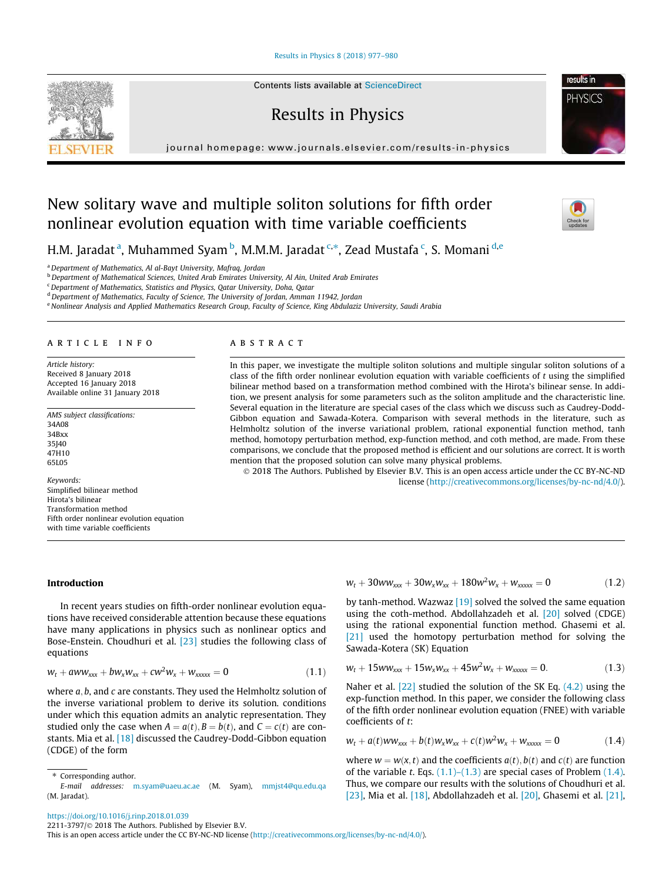## Results in Physics 8 (2018) 977–980



Contents lists available at ScienceDirect

Results in Physics

journal homepage: www.journals.elsevier.com/results-in-physics

# New solitary wave and multiple soliton solutions for fifth order nonlinear evolution equation with time variable coefficients



**PHYSICS** 

H.M. Jaradat <sup>a</sup>, Muhammed Syam <sup>b</sup>, M.M.M. Jaradat <sup>c,</sup>\*, Zead Mustafa <sup>c</sup>, S. Momani <sup>d,e</sup>

<sup>a</sup> Department of Mathematics, Al al-Bayt University, Mafraq, Jordan

b Department of Mathematical Sciences, United Arab Emirates University, Al Ain, United Arab Emirates

<sup>c</sup> Department of Mathematics, Statistics and Physics, Qatar University, Doha, Qatar

 $d$  Department of Mathematics, Faculty of Science, The University of Jordan, Amman 11942, Jordan

e Nonlinear Analysis and Applied Mathematics Research Group, Faculty of Science, King Abdulaziz University, Saudi Arabia

## article info

Article history: Received 8 January 2018 Accepted 16 January 2018 Available online 31 January 2018

AMS subject classifications: 34A08 34Bxx 35J40 47H10 65L05

Keywords: Simplified bilinear method Hirota's bilinear Transformation method Fifth order nonlinear evolution equation with time variable coefficients

# ABSTRACT

In this paper, we investigate the multiple soliton solutions and multiple singular soliton solutions of a class of the fifth order nonlinear evolution equation with variable coefficients of  $t$  using the simplified bilinear method based on a transformation method combined with the Hirota's bilinear sense. In addition, we present analysis for some parameters such as the soliton amplitude and the characteristic line. Several equation in the literature are special cases of the class which we discuss such as Caudrey-Dodd-Gibbon equation and Sawada-Kotera. Comparison with several methods in the literature, such as Helmholtz solution of the inverse variational problem, rational exponential function method, tanh method, homotopy perturbation method, exp-function method, and coth method, are made. From these comparisons, we conclude that the proposed method is efficient and our solutions are correct. It is worth mention that the proposed solution can solve many physical problems.

 2018 The Authors. Published by Elsevier B.V. This is an open access article under the CC BY-NC-ND license (http://creativecommons.org/licenses/by-nc-nd/4.0/).

## Introduction

In recent years studies on fifth-order nonlinear evolution equations have received considerable attention because these equations have many applications in physics such as nonlinear optics and Bose-Enstein. Choudhuri et al. [23] studies the following class of equations

$$
w_t + aww_{xxx} + bw_xw_{xx} + cw^2w_x + w_{xxxxx} = 0 \qquad (1.1)
$$

where  $a, b$ , and  $c$  are constants. They used the Helmholtz solution of the inverse variational problem to derive its solution. conditions under which this equation admits an analytic representation. They studied only the case when  $A = a(t), B = b(t)$ , and  $C = c(t)$  are constants. Mia et al. [18] discussed the Caudrey-Dodd-Gibbon equation (CDGE) of the form

(M. Jaradat).

 $w_t + 30ww_{xxx} + 30w_xw_{xx} + 180w^2w_x + w_{xxxxx} = 0$  (1.2)

by tanh-method. Wazwaz [19] solved the solved the same equation using the coth-method. Abdollahzadeh et al. [20] solved (CDGE) using the rational exponential function method. Ghasemi et al. [21] used the homotopy perturbation method for solving the Sawada-Kotera (SK) Equation

$$
w_t + 15ww_{xxx} + 15w_xw_{xx} + 45w^2w_x + w_{xxxxx} = 0. \qquad (1.3)
$$

Naher et al. [22] studied the solution of the SK Eq. (4.2) using the exp-function method. In this paper, we consider the following class of the fifth order nonlinear evolution equation (FNEE) with variable coefficients of t:

$$
w_t + a(t)ww_{xxx} + b(t)w_xw_{xx} + c(t)w^2w_x + w_{xxxxx} = 0
$$
 (1.4)

where  $w = w(x, t)$  and the coefficients  $a(t), b(t)$  and  $c(t)$  are function of the variable t. Eqs.  $(1.1)$ – $(1.3)$  are special cases of Problem  $(1.4)$ . Thus, we compare our results with the solutions of Choudhuri et al. [23], Mia et al. [18], Abdollahzadeh et al. [20], Ghasemi et al. [21],

2211-3797/© 2018 The Authors. Published by Elsevier B.V.

This is an open access article under the CC BY-NC-ND license (http://creativecommons.org/licenses/by-nc-nd/4.0/).

<sup>⇑</sup> Corresponding author. E-mail addresses: m.syam@uaeu.ac.ae (M. Syam), mmjst4@qu.edu.qa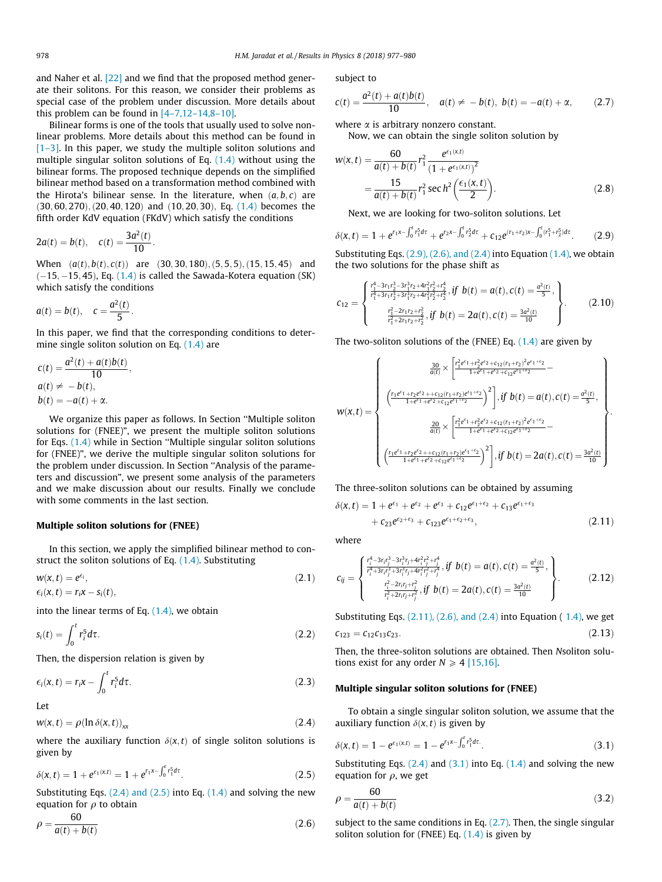and Naher et al. [22] and we find that the proposed method generate their solitons. For this reason, we consider their problems as special case of the problem under discussion. More details about this problem can be found in  $[4-7,12-14,8-10]$ .

Bilinear forms is one of the tools that usually used to solve nonlinear problems. More details about this method can be found in  $[1-3]$ . In this paper, we study the multiple soliton solutions and multiple singular soliton solutions of Eq. (1.4) without using the bilinear forms. The proposed technique depends on the simplified bilinear method based on a transformation method combined with the Hirota's bilinear sense. In the literature, when  $(a, b, c)$  are  $(30, 60, 270), (20, 40, 120)$  and  $(10, 20, 30),$  Eq.  $(1.4)$  becomes the fifth order KdV equation (FKdV) which satisfy the conditions

$$
2a(t) = b(t),
$$
  $c(t) = \frac{3a^2(t)}{10}.$ 

When  $(a(t), b(t), c(t))$  are  $(30, 30, 180), (5, 5, 5), (15, 15, 45)$  and  $(-15, -15, 45)$ , Eq.  $(1.4)$  is called the Sawada-Kotera equation (SK) which satisfy the conditions

$$
a(t) = b(t), \quad c = \frac{a^2(t)}{5}.
$$

In this paper, we find that the corresponding conditions to determine single soliton solution on Eq. (1.4) are

$$
c(t) = \frac{a^2(t) + a(t)b(t)}{10},
$$
  
\n
$$
a(t) \neq -b(t),
$$
  
\n
$$
b(t) = -a(t) + \alpha.
$$

We organize this paper as follows. In Section ''Multiple soliton solutions for (FNEE)", we present the multiple soliton solutions for Eqs. (1.4) while in Section ''Multiple singular soliton solutions for (FNEE)", we derive the multiple singular soliton solutions for the problem under discussion. In Section ''Analysis of the parameters and discussion", we present some analysis of the parameters and we make discussion about our results. Finally we conclude with some comments in the last section.

#### Multiple soliton solutions for (FNEE)

In this section, we apply the simplified bilinear method to construct the soliton solutions of Eq. (1.4). Substituting

$$
w(x,t) = e^{\epsilon_i},
$$
  
\n
$$
\epsilon_i(x,t) = r_i x - s_i(t),
$$
\n(2.1)

into the linear terms of Eq.  $(1.4)$ , we obtain

$$
s_i(t) = \int_0^t r_i^5 d\tau. \tag{2.2}
$$

Then, the dispersion relation is given by

 $\ddot{\phantom{1}}$ 

$$
\epsilon_i(x,t) = r_i x - \int_0^t r_i^5 d\tau.
$$
 (2.3)

Let

 $w(x,t) = \rho(\ln \delta(x,t))_{xx}$  (2.4)

where the auxiliary function  $\delta(x,t)$  of single soliton solutions is given by

$$
\delta(x,t) = 1 + e^{\epsilon_1(x,t)} = 1 + e^{r_1x - \int_0^t r_1^5 dt}.
$$
 (2.5)

Substituting Eqs.  $(2.4)$  and  $(2.5)$  into Eq.  $(1.4)$  and solving the new equation for  $\rho$  to obtain

$$
\rho = \frac{60}{a(t) + b(t)}\tag{2.6}
$$

subject to

$$
c(t) = \frac{a^2(t) + a(t)b(t)}{10}, \quad a(t) \neq -b(t), \ b(t) = -a(t) + \alpha, \qquad (2.7)
$$

where  $\alpha$  is arbitrary nonzero constant.

Now, we can obtain the single soliton solution by

$$
w(x,t) = \frac{60}{a(t) + b(t)} r_1^2 \frac{e^{\epsilon_1(x,t)}}{(1 + e^{\epsilon_1(x,t)})^2}
$$
  
= 
$$
\frac{15}{a(t) + b(t)} r_1^2 \sec \frac{h^2}{2} \left(\frac{\epsilon_1(x,t)}{2}\right).
$$
 (2.8)

Next, we are looking for two-soliton solutions. Let

$$
\delta(x,t) = 1 + e^{r_1 x - \int_0^t r_1^5 d\tau} + e^{r_2 x - \int_0^t r_2^5 d\tau} + c_{12} e^{(r_1 + r_2)x - \int_0^t (r_1^5 + r_2^5) d\tau}.
$$
 (2.9)

Substituting Eqs. (2.9), (2.6), and (2.4) into Equation (1.4), we obtain the two solutions for the phase shift as

$$
c_{12} = \begin{cases} \frac{r_1^4 - 3r_1r_2^3 - 3r_1^3r_2 + 4r_1^2r_2^2 + r_2^4}{r_1^4 + 3r_1r_2^3 + 3r_1^3r_2 + 4r_1^2r_2^2 + r_2^4}, & \text{if } b(t) = a(t), c(t) = \frac{a^2(t)}{5}, \\ \frac{r_1^2 - 2r_1r_2 + r_2^2}{r_1^2 + 2r_1r_2 + r_2^2}, & \text{if } b(t) = 2a(t), c(t) = \frac{3a^2(t)}{10} \end{cases}
$$
 (2.10)

The two-soliton solutions of the (FNEE) Eq.  $(1.4)$  are given by

$$
w(x,t) = \begin{cases} \frac{30}{a(t)} \times \left[ \frac{r_1^2 e^{\epsilon_1} + r_2^2 e^{\epsilon_2} + c_{12}(r_1 + r_2)^2 e^{\epsilon_1 + \epsilon_2}}{1 + e^{\epsilon_1} + e^{\epsilon_2} + c_{12} e^{\epsilon_1 + \epsilon_2}} - \right. \\ \left. \left. \left( \frac{r_1 e^{\epsilon_1} + r_2 e^{\epsilon_2} + c_{12}(r_1 + r_2) e^{\epsilon_1 + \epsilon_2}}{1 + e^{\epsilon_1} + e^{\epsilon_2} + c_{12} e^{\epsilon_1 + \epsilon_2}} \right)^2 \right], \text{if } b(t) = a(t), c(t) = \frac{a^2(t)}{5}, \\ \frac{20}{a(t)} \times \left[ \frac{r_1^2 e^{\epsilon_1} + r_2^2 e^{\epsilon_2} + c_{12}(r_1 + r_2)^2 e^{\epsilon_1 + \epsilon_2}}{1 + e^{\epsilon_1} + e^{\epsilon_2} + c_{12} e^{\epsilon_1 + \epsilon_2}} - \right. \\ \left. \left. \left( \frac{r_1 e^{\epsilon_1} + r_2 e^{\epsilon_2} + c_{12}(r_1 + r_2) e^{\epsilon_1 + \epsilon_2}}{1 + e^{\epsilon_1} + e^{\epsilon_2} + c_{12} e^{\epsilon_1 + \epsilon_2}} \right)^2 \right], \text{if } b(t) = 2a(t), c(t) = \frac{3a^2(t)}{10} \end{cases}.
$$

The three-soliton solutions can be obtained by assuming

$$
\delta(x,t) = 1 + e^{\epsilon_1} + e^{\epsilon_2} + e^{\epsilon_3} + c_{12}e^{\epsilon_1 + \epsilon_2} + c_{13}e^{\epsilon_1 + \epsilon_3} + c_{23}e^{\epsilon_2 + \epsilon_3} + c_{123}e^{\epsilon_1 + \epsilon_2 + \epsilon_3},
$$
\n(2.11)

where

$$
c_{ij} = \begin{cases} \frac{r_i^4 - 3r_ir_j^3 - 3r_i^3r_j + 4r_i^2r_j^2 + r_j^4}{r_i^4 + 3r_ir_j^3 + 3r_i^3r_j + 4r_i^2r_j^2 + r_j^4}, \text{if } b(t) = a(t), c(t) = \frac{a^2(t)}{5}, \\ \frac{r_i^2 - 2r_ir_j + r_j^2}{r_i^2 + 2r_ir_j + r_j^2}, \text{if } b(t) = 2a(t), c(t) = \frac{3a^2(t)}{10} \end{cases}.
$$
 (2.12)

Substituting Eqs.  $(2.11)$ ,  $(2.6)$ , and  $(2.4)$  into Equation  $(1.4)$ , we get

$$
c_{123} = c_{12}c_{13}c_{23}.\tag{2.13}
$$

Then, the three-soliton solutions are obtained. Then Nsoliton solutions exist for any order  $N \ge 4$  [15,16].

# Multiple singular soliton solutions for (FNEE)

To obtain a single singular soliton solution, we assume that the auxiliary function  $\delta(x, t)$  is given by

$$
\delta(x,t) = 1 - e^{\epsilon_1(x,t)} = 1 - e^{r_1 x - \int_0^t r_1^5 dt}.
$$
\n(3.1)

Substituting Eqs.  $(2.4)$  and  $(3.1)$  into Eq.  $(1.4)$  and solving the new equation for  $\rho$ , we get

$$
\rho = \frac{60}{a(t) + b(t)}\tag{3.2}
$$

subject to the same conditions in Eq.  $(2.7)$ . Then, the single singular soliton solution for (FNEE) Eq.  $(1.4)$  is given by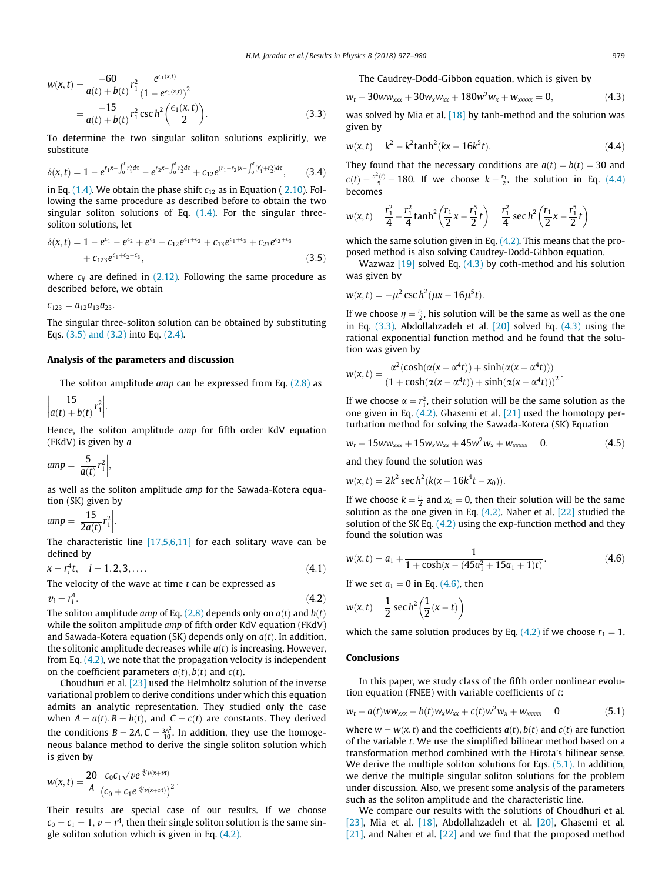$$
w(x,t) = \frac{-60}{a(t) + b(t)} r_1^2 \frac{e^{\epsilon_1(x,t)}}{(1 - e^{\epsilon_1(x,t)})^2}
$$
  
= 
$$
\frac{-15}{a(t) + b(t)} r_1^2 \csc h^2 \left(\frac{\epsilon_1(x,t)}{2}\right).
$$
 (3.3)

To determine the two singular soliton solutions explicitly, we substitute

$$
\delta(x,t) = 1 - e^{r_1 x - \int_0^t r_1^5 dt} - e^{r_2 x - \int_0^t r_2^5 dt} + c_{12} e^{(r_1 + r_2)x - \int_0^t (r_1^5 + r_2^5) dt}, \tag{3.4}
$$

in Eq. (1.4). We obtain the phase shift  $c_{12}$  as in Equation (2.10). Following the same procedure as described before to obtain the two singular soliton solutions of Eq. (1.4). For the singular threesoliton solutions, let

$$
\delta(x,t) = 1 - e^{\epsilon_1} - e^{\epsilon_2} + e^{\epsilon_3} + c_{12}e^{\epsilon_1 + \epsilon_2} + c_{13}e^{\epsilon_1 + \epsilon_3} + c_{23}e^{\epsilon_2 + \epsilon_3} + c_{123}e^{\epsilon_1 + \epsilon_2 + \epsilon_3},
$$
\n(3.5)

where  $c_{ij}$  are defined in (2.12). Following the same procedure as described before, we obtain

$$
c_{123}=a_{12}a_{13}a_{23}.
$$

The singular three-soliton solution can be obtained by substituting Eqs. (3.5) and (3.2) into Eq. (2.4).

#### Analysis of the parameters and discussion

The soliton amplitude amp can be expressed from Eq. (2.8) as

$$
\left|\frac{15}{a(t)+b(t)}r_1^2\right|.
$$

Hence, the soliton amplitude amp for fifth order KdV equation (FKdV) is given by a

$$
amp = \left|\frac{5}{a(t)}r_1^2\right|,
$$

as well as the soliton amplitude amp for the Sawada-Kotera equation (SK) given by

$$
amp = \left|\frac{15}{2a(t)}r_1^2\right|.
$$

The characteristic line [17,5,6,11] for each solitary wave can be defined by

$$
x = r_i^4 t, \quad i = 1, 2, 3, \dots
$$
 (4.1)

The velocity of the wave at time 
$$
t
$$
 can be expressed as

$$
v_i = r_i^4. \tag{4.2}
$$

The soliton amplitude *amp* of Eq. (2.8) depends only on  $a(t)$  and  $b(t)$ while the soliton amplitude amp of fifth order KdV equation (FKdV) and Sawada-Kotera equation (SK) depends only on  $a(t)$ . In addition, the solitonic amplitude decreases while  $a(t)$  is increasing. However, from Eq. (4.2), we note that the propagation velocity is independent on the coefficient parameters  $a(t)$ ,  $b(t)$  and  $c(t)$ .

Choudhuri et al. [23] used the Helmholtz solution of the inverse variational problem to derive conditions under which this equation admits an analytic representation. They studied only the case when  $A = a(t)$ ,  $B = b(t)$ , and  $C = c(t)$  are constants. They derived the conditions  $B = 2A$ ,  $C = \frac{3A^2}{10}$ . In addition, they use the homogeneous balance method to derive the single soliton solution which is given by

$$
w(x,t)=\frac{20}{A}\frac{c_0c_1\sqrt{\nu}e^{\sqrt[4]{\nu}(x+\nu t)}}{(c_0+c_1e^{\sqrt[4]{\nu}(x+\nu t)})^2}.
$$

Their results are special case of our results. If we choose  $c_0 = c_1 = 1$ ,  $v = r<sup>4</sup>$ , then their single soliton solution is the same single soliton solution which is given in Eq. (4.2).

The Caudrey-Dodd-Gibbon equation, which is given by

$$
w_t + 30ww_{xxx} + 30w_xw_{xx} + 180w^2w_x + w_{xxxxx} = 0, \qquad (4.3)
$$

was solved by Mia et al. [18] by tanh-method and the solution was given by

$$
w(x,t) = k^2 - k^2 \tanh^2(kx - 16k^5t).
$$
 (4.4)

They found that the necessary conditions are  $a(t) = b(t) = 30$  and  $c(t) = \frac{a^2(t)}{5} = 180$ . If we choose  $k = \frac{r_1}{2}$ , the solution in Eq. (4.4) becomes

$$
w(x,t) = \frac{r_1^2}{4} - \frac{r_1^2}{4} \tanh^2\left(\frac{r_1}{2}x - \frac{r_1^5}{2}t\right) = \frac{r_1^2}{4} \sec h^2\left(\frac{r_1}{2}x - \frac{r_1^5}{2}t\right)
$$

which the same solution given in Eq.  $(4.2)$ . This means that the proposed method is also solving Caudrey-Dodd-Gibbon equation.

Wazwaz  $[19]$  solved Eq.  $(4.3)$  by coth-method and his solution was given by

$$
w(x, t) = -\mu^2 \csc h^2(\mu x - 16\mu^5 t).
$$

If we choose  $\eta = \frac{r_1}{2}$ , his solution will be the same as well as the one in Eq. (3.3). Abdollahzadeh et al. [20] solved Eq. (4.3) using the rational exponential function method and he found that the solution was given by

$$
w(x,t) = \frac{\alpha^2(\cosh(\alpha(x-\alpha^4t)) + \sinh(\alpha(x-\alpha^4t)))}{(1+\cosh(\alpha(x-\alpha^4t)) + \sinh(\alpha(x-\alpha^4t)))^2}.
$$

If we choose  $\alpha = r_1^2$ , their solution will be the same solution as the one given in Eq. (4.2). Ghasemi et al. [21] used the homotopy perturbation method for solving the Sawada-Kotera (SK) Equation

$$
w_t + 15ww_{xxx} + 15w_xw_{xx} + 45w^2w_x + w_{xxxxx} = 0. \qquad (4.5)
$$

and they found the solution was

$$
w(x, t) = 2k^2 \sec h^2(k(x - 16k^4t - x_0)).
$$

If we choose  $k = \frac{r_1}{2}$  and  $x_0 = 0$ , then their solution will be the same solution as the one given in Eq. (4.2). Naher et al. [22] studied the solution of the SK Eq. (4.2) using the exp-function method and they found the solution was

$$
w(x,t) = a_1 + \frac{1}{1 + \cosh(x - (45a_1^2 + 15a_1 + 1)t)}.
$$
\n(4.6)

If we set  $a_1 = 0$  in Eq. (4.6), then

$$
w(x,t) = \frac{1}{2} \sec h^2 \left(\frac{1}{2}(x-t)\right)
$$

which the same solution produces by Eq. (4.2) if we choose  $r_1 = 1$ .

#### Conclusions

In this paper, we study class of the fifth order nonlinear evolution equation (FNEE) with variable coefficients of t:

$$
w_t + a(t)ww_{xxx} + b(t)w_xw_{xx} + c(t)w^2w_x + w_{xxxxx} = 0
$$
\n(5.1)

where  $w = w(x, t)$  and the coefficients  $a(t)$ ,  $b(t)$  and  $c(t)$  are function of the variable t. We use the simplified bilinear method based on a transformation method combined with the Hirota's bilinear sense. We derive the multiple soliton solutions for Eqs. (5.1). In addition, we derive the multiple singular soliton solutions for the problem under discussion. Also, we present some analysis of the parameters such as the soliton amplitude and the characteristic line.

We compare our results with the solutions of Choudhuri et al. [23], Mia et al. [18], Abdollahzadeh et al. [20], Ghasemi et al. [21], and Naher et al. [22] and we find that the proposed method